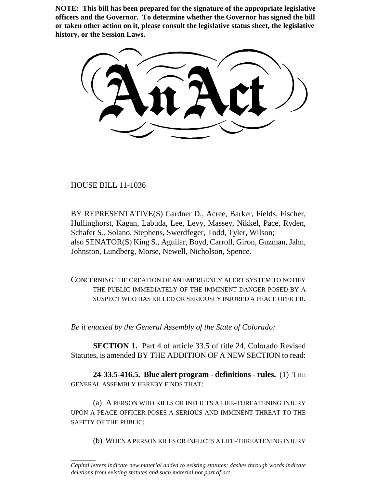**NOTE: This bill has been prepared for the signature of the appropriate legislative officers and the Governor. To determine whether the Governor has signed the bill or taken other action on it, please consult the legislative status sheet, the legislative history, or the Session Laws.**

HOUSE BILL 11-1036

\_\_\_\_\_\_\_\_

BY REPRESENTATIVE(S) Gardner D., Acree, Barker, Fields, Fischer, Hullinghorst, Kagan, Labuda, Lee, Levy, Massey, Nikkel, Pace, Ryden, Schafer S., Solano, Stephens, Swerdfeger, Todd, Tyler, Wilson; also SENATOR(S) King S., Aguilar, Boyd, Carroll, Giron, Guzman, Jahn, Johnston, Lundberg, Morse, Newell, Nicholson, Spence.

CONCERNING THE CREATION OF AN EMERGENCY ALERT SYSTEM TO NOTIFY THE PUBLIC IMMEDIATELY OF THE IMMINENT DANGER POSED BY A SUSPECT WHO HAS KILLED OR SERIOUSLY INJURED A PEACE OFFICER.

*Be it enacted by the General Assembly of the State of Colorado:*

**SECTION 1.** Part 4 of article 33.5 of title 24, Colorado Revised Statutes, is amended BY THE ADDITION OF A NEW SECTION to read:

**24-33.5-416.5. Blue alert program - definitions - rules.** (1) THE GENERAL ASSEMBLY HEREBY FINDS THAT:

(a) A PERSON WHO KILLS OR INFLICTS A LIFE-THREATENING INJURY UPON A PEACE OFFICER POSES A SERIOUS AND IMMINENT THREAT TO THE SAFETY OF THE PUBLIC;

(b) WHEN A PERSON KILLS OR INFLICTS A LIFE-THREATENING INJURY

*Capital letters indicate new material added to existing statutes; dashes through words indicate deletions from existing statutes and such material not part of act.*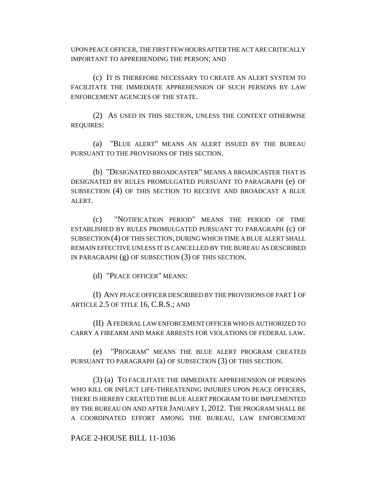UPON PEACE OFFICER, THE FIRST FEW HOURS AFTER THE ACT ARE CRITICALLY IMPORTANT TO APPREHENDING THE PERSON; AND

(c) IT IS THEREFORE NECESSARY TO CREATE AN ALERT SYSTEM TO FACILITATE THE IMMEDIATE APPREHENSION OF SUCH PERSONS BY LAW ENFORCEMENT AGENCIES OF THE STATE.

(2) AS USED IN THIS SECTION, UNLESS THE CONTEXT OTHERWISE REQUIRES:

(a) "BLUE ALERT" MEANS AN ALERT ISSUED BY THE BUREAU PURSUANT TO THE PROVISIONS OF THIS SECTION.

(b) "DESIGNATED BROADCASTER" MEANS A BROADCASTER THAT IS DESIGNATED BY RULES PROMULGATED PURSUANT TO PARAGRAPH (e) OF SUBSECTION (4) OF THIS SECTION TO RECEIVE AND BROADCAST A BLUE ALERT.

(c) "NOTIFICATION PERIOD" MEANS THE PERIOD OF TIME ESTABLISHED BY RULES PROMULGATED PURSUANT TO PARAGRAPH (c) OF SUBSECTION (4) OF THIS SECTION, DURING WHICH TIME A BLUE ALERT SHALL REMAIN EFFECTIVE UNLESS IT IS CANCELLED BY THE BUREAU AS DESCRIBED IN PARAGRAPH (g) OF SUBSECTION (3) OF THIS SECTION.

(d) "PEACE OFFICER" MEANS:

(I) ANY PEACE OFFICER DESCRIBED BY THE PROVISIONS OF PART 1 OF ARTICLE 2.5 OF TITLE 16, C.R.S.; AND

(II) A FEDERAL LAW ENFORCEMENT OFFICER WHO IS AUTHORIZED TO CARRY A FIREARM AND MAKE ARRESTS FOR VIOLATIONS OF FEDERAL LAW.

(e) "PROGRAM" MEANS THE BLUE ALERT PROGRAM CREATED PURSUANT TO PARAGRAPH (a) OF SUBSECTION (3) OF THIS SECTION.

(3) (a) TO FACILITATE THE IMMEDIATE APPREHENSION OF PERSONS WHO KILL OR INFLICT LIFE-THREATENING INJURIES UPON PEACE OFFICERS, THERE IS HEREBY CREATED THE BLUE ALERT PROGRAM TO BE IMPLEMENTED BY THE BUREAU ON AND AFTER JANUARY 1, 2012. THE PROGRAM SHALL BE A COORDINATED EFFORT AMONG THE BUREAU, LAW ENFORCEMENT

## PAGE 2-HOUSE BILL 11-1036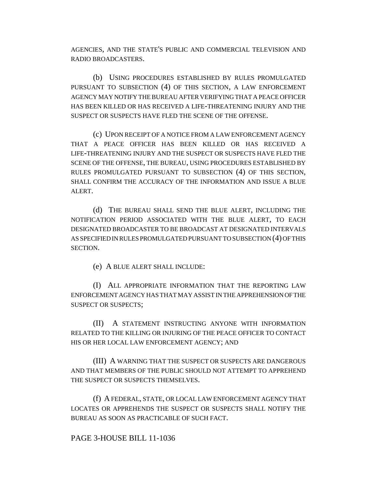AGENCIES, AND THE STATE'S PUBLIC AND COMMERCIAL TELEVISION AND RADIO BROADCASTERS.

(b) USING PROCEDURES ESTABLISHED BY RULES PROMULGATED PURSUANT TO SUBSECTION (4) OF THIS SECTION, A LAW ENFORCEMENT AGENCY MAY NOTIFY THE BUREAU AFTER VERIFYING THAT A PEACE OFFICER HAS BEEN KILLED OR HAS RECEIVED A LIFE-THREATENING INJURY AND THE SUSPECT OR SUSPECTS HAVE FLED THE SCENE OF THE OFFENSE.

(c) UPON RECEIPT OF A NOTICE FROM A LAW ENFORCEMENT AGENCY THAT A PEACE OFFICER HAS BEEN KILLED OR HAS RECEIVED A LIFE-THREATENING INJURY AND THE SUSPECT OR SUSPECTS HAVE FLED THE SCENE OF THE OFFENSE, THE BUREAU, USING PROCEDURES ESTABLISHED BY RULES PROMULGATED PURSUANT TO SUBSECTION (4) OF THIS SECTION, SHALL CONFIRM THE ACCURACY OF THE INFORMATION AND ISSUE A BLUE ALERT.

(d) THE BUREAU SHALL SEND THE BLUE ALERT, INCLUDING THE NOTIFICATION PERIOD ASSOCIATED WITH THE BLUE ALERT, TO EACH DESIGNATED BROADCASTER TO BE BROADCAST AT DESIGNATED INTERVALS AS SPECIFIED IN RULES PROMULGATED PURSUANT TO SUBSECTION (4) OF THIS SECTION.

(e) A BLUE ALERT SHALL INCLUDE:

(I) ALL APPROPRIATE INFORMATION THAT THE REPORTING LAW ENFORCEMENT AGENCY HAS THAT MAY ASSIST IN THE APPREHENSION OF THE SUSPECT OR SUSPECTS;

(II) A STATEMENT INSTRUCTING ANYONE WITH INFORMATION RELATED TO THE KILLING OR INJURING OF THE PEACE OFFICER TO CONTACT HIS OR HER LOCAL LAW ENFORCEMENT AGENCY; AND

(III) A WARNING THAT THE SUSPECT OR SUSPECTS ARE DANGEROUS AND THAT MEMBERS OF THE PUBLIC SHOULD NOT ATTEMPT TO APPREHEND THE SUSPECT OR SUSPECTS THEMSELVES.

(f) A FEDERAL, STATE, OR LOCAL LAW ENFORCEMENT AGENCY THAT LOCATES OR APPREHENDS THE SUSPECT OR SUSPECTS SHALL NOTIFY THE BUREAU AS SOON AS PRACTICABLE OF SUCH FACT.

## PAGE 3-HOUSE BILL 11-1036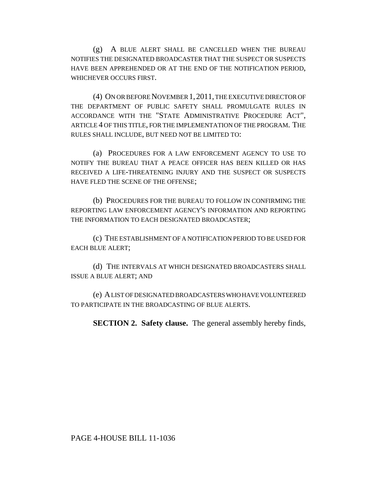(g) A BLUE ALERT SHALL BE CANCELLED WHEN THE BUREAU NOTIFIES THE DESIGNATED BROADCASTER THAT THE SUSPECT OR SUSPECTS HAVE BEEN APPREHENDED OR AT THE END OF THE NOTIFICATION PERIOD, WHICHEVER OCCURS FIRST.

(4) ON OR BEFORE NOVEMBER 1,2011, THE EXECUTIVE DIRECTOR OF THE DEPARTMENT OF PUBLIC SAFETY SHALL PROMULGATE RULES IN ACCORDANCE WITH THE "STATE ADMINISTRATIVE PROCEDURE ACT", ARTICLE 4 OF THIS TITLE, FOR THE IMPLEMENTATION OF THE PROGRAM. THE RULES SHALL INCLUDE, BUT NEED NOT BE LIMITED TO:

(a) PROCEDURES FOR A LAW ENFORCEMENT AGENCY TO USE TO NOTIFY THE BUREAU THAT A PEACE OFFICER HAS BEEN KILLED OR HAS RECEIVED A LIFE-THREATENING INJURY AND THE SUSPECT OR SUSPECTS HAVE FLED THE SCENE OF THE OFFENSE;

(b) PROCEDURES FOR THE BUREAU TO FOLLOW IN CONFIRMING THE REPORTING LAW ENFORCEMENT AGENCY'S INFORMATION AND REPORTING THE INFORMATION TO EACH DESIGNATED BROADCASTER;

(c) THE ESTABLISHMENT OF A NOTIFICATION PERIOD TO BE USED FOR EACH BLUE ALERT;

(d) THE INTERVALS AT WHICH DESIGNATED BROADCASTERS SHALL ISSUE A BLUE ALERT; AND

(e) A LIST OF DESIGNATED BROADCASTERS WHO HAVE VOLUNTEERED TO PARTICIPATE IN THE BROADCASTING OF BLUE ALERTS.

**SECTION 2. Safety clause.** The general assembly hereby finds,